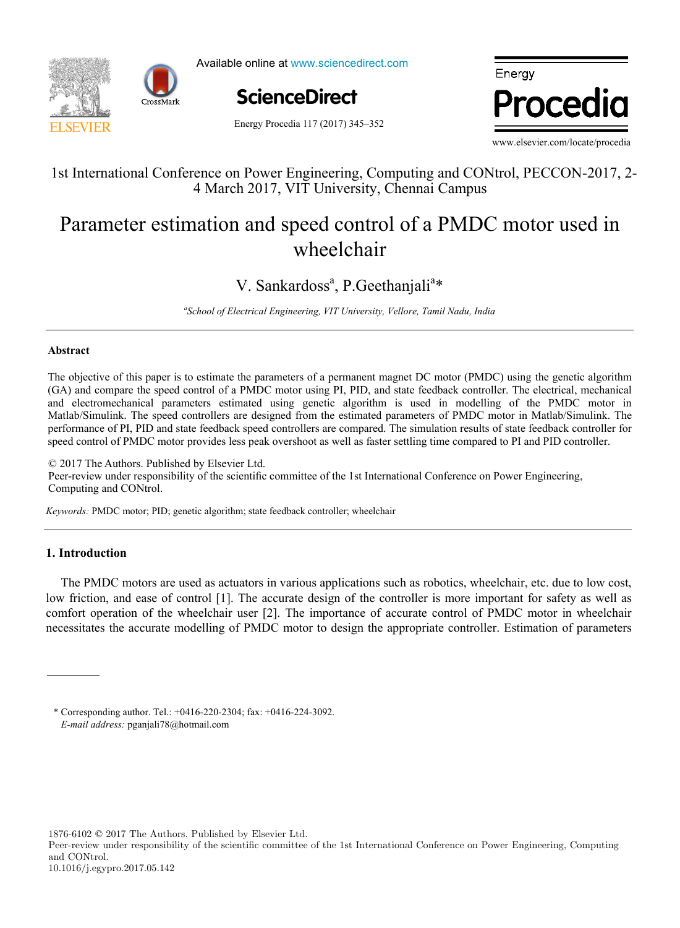



Available online at www.sciencedirect.com



Energy Procedia

Energy Procedia 117 (2017) 345–352

www.elsevier.com/locate/procedia

,  $\overline{\phantom{a}}$  ,  $\overline{\phantom{a}}$  ,  $\overline{\phantom{a}}$  ,  $\overline{\phantom{a}}$  ,  $\overline{\phantom{a}}$  ,  $\overline{\phantom{a}}$  ,  $\overline{\phantom{a}}$  ,  $\overline{\phantom{a}}$  ,  $\overline{\phantom{a}}$  ,  $\overline{\phantom{a}}$  ,  $\overline{\phantom{a}}$  ,  $\overline{\phantom{a}}$  ,  $\overline{\phantom{a}}$  ,  $\overline{\phantom{a}}$  ,  $\overline{\phantom{a}}$  ,  $\overline{\phantom{a$ 

# 1st International Conference on Power Engineering, Computing and CONtrol, PECCON-2017, 2- 1st International Conference on Power Engineering, Computing and CONtrol, PECCON-2017, 2-4 March 2017, VIT University, Chennai Campus

#### estimation and speed control of a PMDC motor  $W1$ continuity of using the  $\frac{1}{2}$ Parameter estimation and speed control of a PMDC motor used in peea comme Parameter estimation and speed control of a PMDC motor used in wheelchair

# V. Sankardoss<sup>a</sup>, P. Geethanjali<sup>a</sup>\* V. Sankardoss<sup>a</sup>, P.Geethanjali<sup>a</sup>\*

<sup>a</sup>School of Electrical Engineering, VIT University, Vellore, Tamil Nadu, India<br>

#### *a* **Abstract** *IN+ Center for Innovation, Technology and Policy Research - Instituto Superior Técnico, Av. Rovisco Pais 1, 1049-001 Lisbon, Portugal*

I. Andrić

The objective of this paper is to estimate the parameters of a permanent magnet DC motor (PMDC) using the genetic algorithm performance of PI, PID and state feedback speed controllers are compared. The simulation results of state feedback controller for (GA) and compare the speed control of a PMDC motor using PI, PID, and state feedback controller. The electrical, mechanical and electromechanical parameters estimated using genetic algorithm is used in modelling of the PMDC motor in Matlab/Simulink. The speed controllers are designed from the estimated parameters of PMDC motor in Matlab/Simulink. The speed control of PMDC motor provides less peak overshoot as well as faster settling time compared to PI and PID controller.

District heating networks are commonly addressed in the literature as one of the most effective solutions for decreasing the  $\frac{g}{g}$  2017 The Authors. Published by Eisevier Ltd. Peer-review under responsibility of the scientific committee of the 1st International Conference on Power Engineering, prolonging the investment return period. Computing and CONtrol. Computing and CONtrol. © 2017 The Authors. Published by Elsevier Ltd. © 2017 The Authors. Published by Elsevier Ltd. Petr-review under responsibility of the scientific committee of the 1st International Conference on Power Engineering, Computing and CONtrol.

Keywords: PMDC motor; PID; genetic algorithm; state feedback controller; wheelchair forecast. The district of Alvalade, located in Lisbon (Portugal), was used as a case study. The district is consisted of 665

#### renovation scenarios were developed (shallow, intermediate, deep). To estimate the error, obtained heat demand values were demand values were demond values were demonded to extend the error, obtained heat demand values wer compared with results from a dynamic heat demand model, previously developed and validated by the authors. **1. Introduction**

The PMDC motors are used as actuators in various applications such as robotics, wheelchair, etc. due to low cost,  $\epsilon_{\rm eff}$  for an nucleus than  $\epsilon_{\rm eff}$  for all weather scenarios considered introducing renovations  $\epsilon_{\rm eff}$  for a  $\epsilon_{\rm eff}$  for a  $\epsilon_{\rm eff}$  for all  $\epsilon_{\rm eff}$ low friction, and ease of control [1]. The accurate design of the controller is more important for safety as well as comfort operation of the wheelchair user [2]. The importance of accurate control of PMDC motor in wheelchair necessitates the accurate modelling of PMDC motor to design the appropriate controller. Estimation of parameters

improve the accuracy of heat demand estimations.

 $1876-6102$  © 2017 The Authors. Published by Elsevier Ltd.

Peer-review under responsibility of the Scientific Committee of The 15th International Symposium on District Heating and \* Corresponding author. Tel.: +0416-220-2304; fax: +0416-224-3092. *E-mail address:* pganjali78@hotmail.com

Peer-review under responsibility of the scientific committee of the 1st International Conference on Power Engineering, Computing and CONtrol. 10.1016/j.egypro.2017.05.142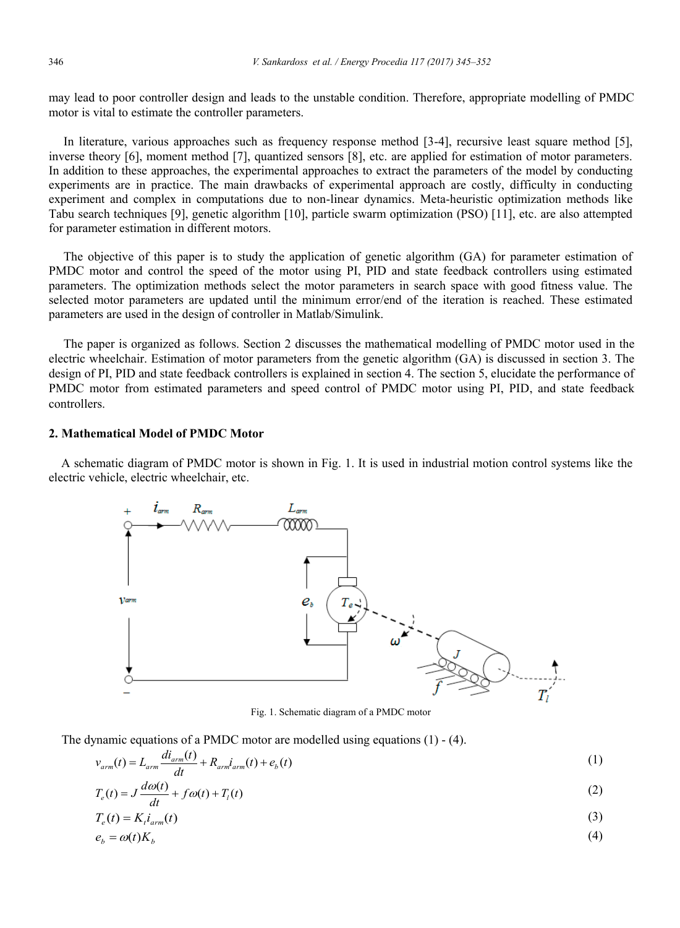may lead to poor controller design and leads to the unstable condition. Therefore, appropriate modelling of PMDC motor is vital to estimate the controller parameters.

In literature, various approaches such as frequency response method [3-4], recursive least square method [5], inverse theory [6], moment method [7], quantized sensors [8], etc. are applied for estimation of motor parameters. In addition to these approaches, the experimental approaches to extract the parameters of the model by conducting experiments are in practice. The main drawbacks of experimental approach are costly, difficulty in conducting experiment and complex in computations due to non-linear dynamics. Meta-heuristic optimization methods like Tabu search techniques [9], genetic algorithm [10], particle swarm optimization (PSO) [11], etc. are also attempted for parameter estimation in different motors.

The objective of this paper is to study the application of genetic algorithm (GA) for parameter estimation of PMDC motor and control the speed of the motor using PI, PID and state feedback controllers using estimated parameters. The optimization methods select the motor parameters in search space with good fitness value. The selected motor parameters are updated until the minimum error/end of the iteration is reached. These estimated parameters are used in the design of controller in Matlab/Simulink.

The paper is organized as follows. Section 2 discusses the mathematical modelling of PMDC motor used in the electric wheelchair. Estimation of motor parameters from the genetic algorithm (GA) is discussed in section 3. The design of PI, PID and state feedback controllers is explained in section 4. The section 5, elucidate the performance of PMDC motor from estimated parameters and speed control of PMDC motor using PI, PID, and state feedback controllers.

### **2. Mathematical Model of PMDC Motor**

 A schematic diagram of PMDC motor is shown in Fig. 1. It is used in industrial motion control systems like the electric vehicle, electric wheelchair, etc.



Fig. 1. Schematic diagram of a PMDC motor

The dynamic equations of a PMDC motor are modelled using equations  $(1)$  -  $(4)$ .

$$
v_{arm}(t) = L_{arm} \frac{di_{arm}(t)}{dt} + R_{arm}i_{arm}(t) + e_b(t)
$$
\n(1)

$$
T_e(t) = J\frac{d\omega(t)}{dt} + f\omega(t) + T_i(t)
$$
\n(2)

$$
T_e(t) = K_i i_{arm}(t) \tag{3}
$$

$$
e_b = \omega(t)K_b \tag{4}
$$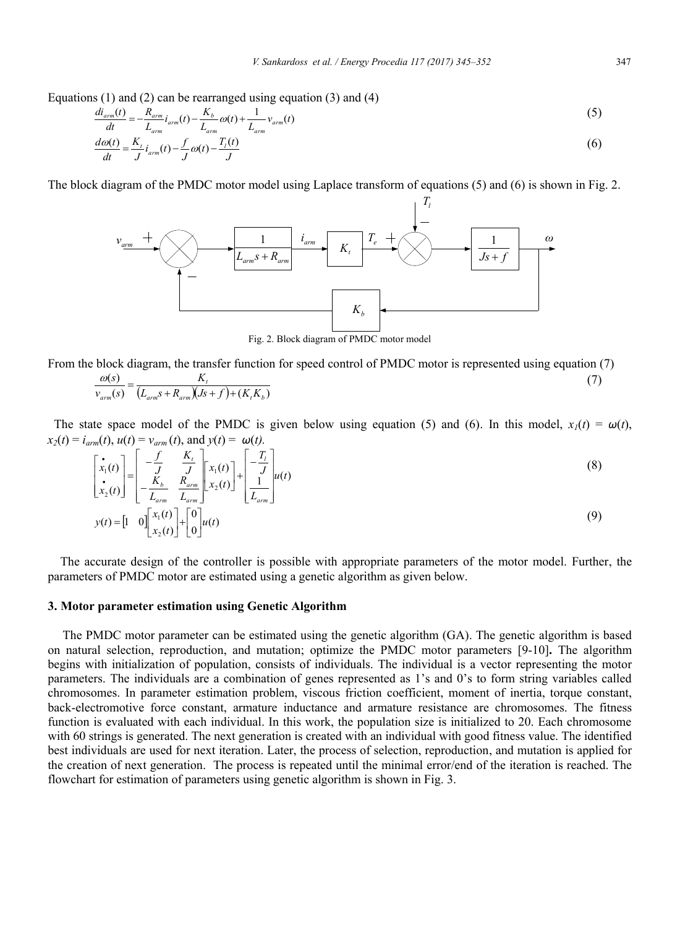Equations (1) and (2) can be rearranged using equation (3) and (4)

$$
\frac{di_{arm}(t)}{dt} = -\frac{R_{arm}}{L_{arm}}i_{arm}(t) - \frac{K_b}{L_{arm}}\omega(t) + \frac{1}{L_{arm}}v_{arm}(t)
$$
\n
$$
\tag{5}
$$

$$
\frac{d\omega(t)}{dt} = \frac{K_t}{J} i_{arm}(t) - \frac{f}{J}\omega(t) - \frac{T_i(t)}{J} \tag{6}
$$

The block diagram of the PMDC motor model using Laplace transform of equations (5) and (6) is shown in Fig. 2.



Fig. 2. Block diagram of PMDC motor model

From the block diagram, the transfer function for speed control of PMDC motor is represented using equation (7)

$$
\frac{\omega(s)}{v_{arm}(s)} = \frac{K_t}{(L_{arm}s + R_{arm})(Js + f) + (K_tK_b)}
$$
\n
$$
(7)
$$

The state space model of the PMDC is given below using equation (5) and (6). In this model,  $x_1(t) = \omega(t)$ ,  $x_2(t) = i_{arm}(t), u(t) = v_{arm}(t),$  and  $y(t) = \omega(t)$ .

$$
\begin{bmatrix} \dot{x}_1(t) \\ \dot{x}_2(t) \end{bmatrix} = \begin{bmatrix} -\frac{f}{J} & \frac{K_t}{J} \\ -\frac{K_b}{L_{arm}} & \frac{R_{arm}}{L_{arm}} \end{bmatrix} \begin{bmatrix} x_1(t) \\ x_2(t) \end{bmatrix} + \begin{bmatrix} -\frac{T_t}{J} \\ \frac{1}{L_{arm}} \end{bmatrix} u(t)
$$
\n(8)

$$
y(t) = \begin{bmatrix} 1 & 0 \end{bmatrix} \begin{bmatrix} x_1(t) \\ x_2(t) \end{bmatrix} + \begin{bmatrix} 0 \\ 0 \end{bmatrix} u(t)
$$
 (9)

 The accurate design of the controller is possible with appropriate parameters of the motor model. Further, the parameters of PMDC motor are estimated using a genetic algorithm as given below.

#### **3. Motor parameter estimation using Genetic Algorithm**

The PMDC motor parameter can be estimated using the genetic algorithm (GA). The genetic algorithm is based on natural selection, reproduction, and mutation; optimize the PMDC motor parameters [9-10]**.** The algorithm begins with initialization of population, consists of individuals. The individual is a vector representing the motor parameters. The individuals are a combination of genes represented as 1's and 0's to form string variables called chromosomes. In parameter estimation problem, viscous friction coefficient, moment of inertia, torque constant, back-electromotive force constant, armature inductance and armature resistance are chromosomes. The fitness function is evaluated with each individual. In this work, the population size is initialized to 20. Each chromosome with 60 strings is generated. The next generation is created with an individual with good fitness value. The identified best individuals are used for next iteration. Later, the process of selection, reproduction, and mutation is applied for the creation of next generation. The process is repeated until the minimal error/end of the iteration is reached. The flowchart for estimation of parameters using genetic algorithm is shown in Fig. 3.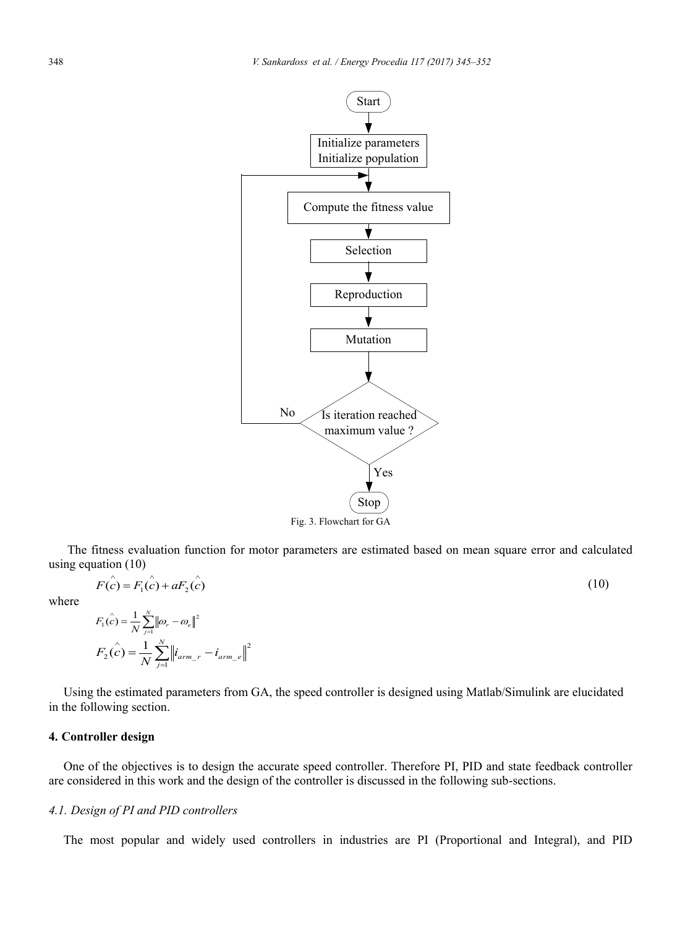

 The fitness evaluation function for motor parameters are estimated based on mean square error and calculated using equation (10)

$$
F(c) = F_1(c) + aF_2(c)
$$
 (10)

where

$$
F_1(\hat{c}) = \frac{1}{N} \sum_{j=1}^{N} ||\omega_r - \omega_e||^2
$$
  

$$
F_2(\hat{c}) = \frac{1}{N} \sum_{j=1}^{N} ||i_{arm\_r} - i_{arm\_e}||^2
$$

*N*

Using the estimated parameters from GA, the speed controller is designed using Matlab/Simulink are elucidated in the following section.

#### **4. Controller design**

One of the objectives is to design the accurate speed controller. Therefore PI, PID and state feedback controller are considered in this work and the design of the controller is discussed in the following sub-sections.

### *4.1. Design of PI and PID controllers*

The most popular and widely used controllers in industries are PI (Proportional and Integral), and PID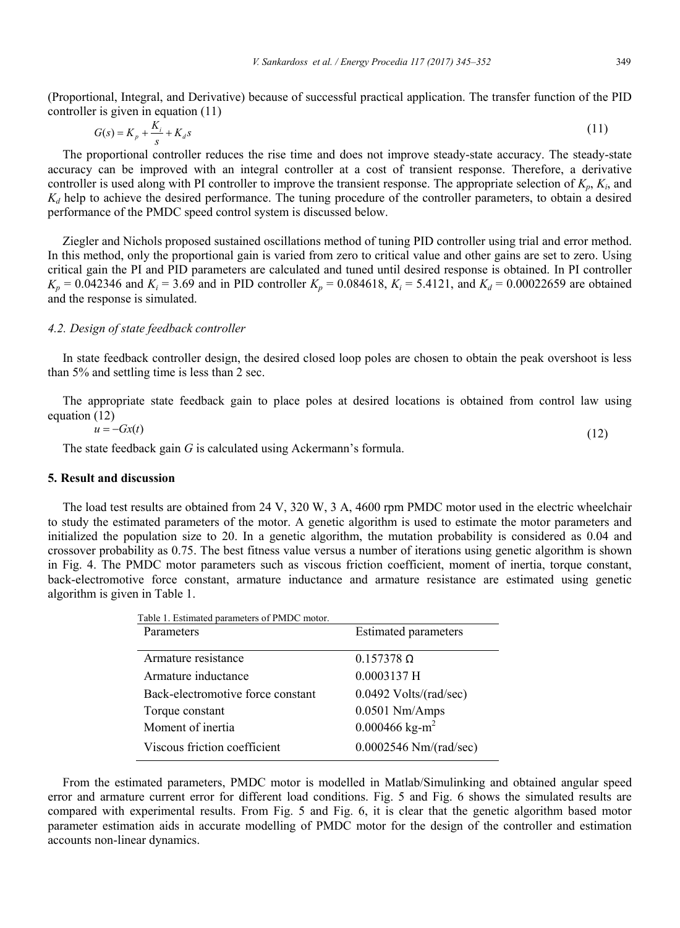(Proportional, Integral, and Derivative) because of successful practical application. The transfer function of the PID controller is given in equation (11)

$$
G(s) = K_p + \frac{K_i}{s} + K_d s \tag{11}
$$

The proportional controller reduces the rise time and does not improve steady-state accuracy. The steady-state accuracy can be improved with an integral controller at a cost of transient response. Therefore, a derivative controller is used along with PI controller to improve the transient response. The appropriate selection of  $K_p$ ,  $K_i$ , and  $K_d$  help to achieve the desired performance. The tuning procedure of the controller parameters, to obtain a desired performance of the PMDC speed control system is discussed below.

Ziegler and Nichols proposed sustained oscillations method of tuning PID controller using trial and error method. In this method, only the proportional gain is varied from zero to critical value and other gains are set to zero. Using critical gain the PI and PID parameters are calculated and tuned until desired response is obtained. In PI controller  $K_p = 0.042346$  and  $K_i = 3.69$  and in PID controller  $K_p = 0.084618$ ,  $K_i = 5.4121$ , and  $K_d = 0.00022659$  are obtained and the response is simulated.

### *4.2. Design of state feedback controller*

In state feedback controller design, the desired closed loop poles are chosen to obtain the peak overshoot is less than 5% and settling time is less than 2 sec.

The appropriate state feedback gain to place poles at desired locations is obtained from control law using equation (12)

$$
u = -Gx(t) \tag{12}
$$

The state feedback gain *G* is calculated using Ackermann's formula.

### **5. Result and discussion**

The load test results are obtained from 24 V, 320 W, 3 A, 4600 rpm PMDC motor used in the electric wheelchair to study the estimated parameters of the motor. A genetic algorithm is used to estimate the motor parameters and initialized the population size to 20. In a genetic algorithm, the mutation probability is considered as 0.04 and crossover probability as 0.75. The best fitness value versus a number of iterations using genetic algorithm is shown in Fig. 4. The PMDC motor parameters such as viscous friction coefficient, moment of inertia, torque constant, back-electromotive force constant, armature inductance and armature resistance are estimated using genetic algorithm is given in Table 1.

| Table 1. Estimated parameters of PMDC motor. |                             |
|----------------------------------------------|-----------------------------|
| Parameters                                   | <b>Estimated parameters</b> |
|                                              |                             |
| Armature resistance                          | $0.157378 \Omega$           |
| Armature inductance                          | $0.0003137$ H               |
| Back-electromotive force constant            | $0.0492$ Volts/(rad/sec)    |
| Torque constant                              | $0.0501$ Nm/Amps            |
| Moment of inertia                            | 0.000466 kg-m <sup>2</sup>  |
| Viscous friction coefficient                 | $0.0002546$ Nm/(rad/sec)    |
|                                              |                             |

From the estimated parameters, PMDC motor is modelled in Matlab/Simulinking and obtained angular speed error and armature current error for different load conditions. Fig. 5 and Fig. 6 shows the simulated results are compared with experimental results. From Fig. 5 and Fig. 6, it is clear that the genetic algorithm based motor parameter estimation aids in accurate modelling of PMDC motor for the design of the controller and estimation accounts non-linear dynamics.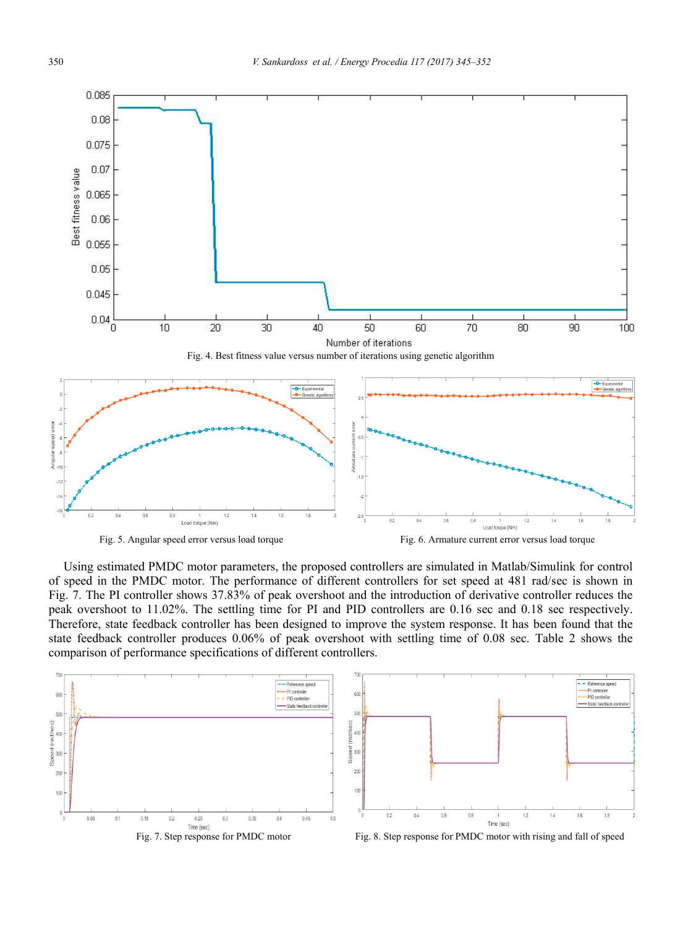





Using estimated PMDC motor parameters, the proposed controllers are simulated in Matlab/Simulink for control of speed in the PMDC motor. The performance of different controllers for set speed at 481 rad/sec is shown in Fig. 7. The PI controller shows 37.83% of peak overshoot and the introduction of derivative controller reduces the peak overshoot to 11.02%. The settling time for PI and PID controllers are 0.16 sec and 0.18 sec respectively. Therefore, state feedback controller has been designed to improve the system response. It has been found that the state feedback controller produces 0.06% of peak overshoot with settling time of 0.08 sec. Table 2 shows the comparison of performance specifications of different controllers.

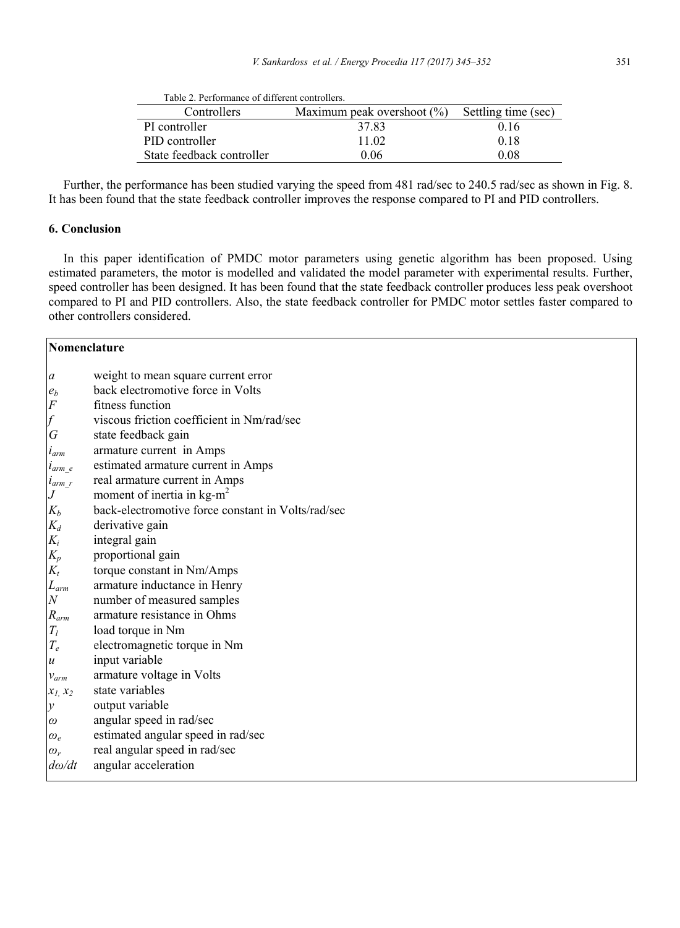| Table 2. Performance of different controllers. |                               |                     |
|------------------------------------------------|-------------------------------|---------------------|
| Controllers                                    | Maximum peak overshoot $(\%)$ | Settling time (sec) |
| PI controller                                  | 37.83                         | 0.16                |
| PID controller                                 | 11 02                         | 0.18                |
| State feedback controller                      | 0 06                          | 0.08                |

Further, the performance has been studied varying the speed from 481 rad/sec to 240.5 rad/sec as shown in Fig. 8. It has been found that the state feedback controller improves the response compared to PI and PID controllers.

# **6. Conclusion**

In this paper identification of PMDC motor parameters using genetic algorithm has been proposed. Using estimated parameters, the motor is modelled and validated the model parameter with experimental results. Further, speed controller has been designed. It has been found that the state feedback controller produces less peak overshoot compared to PI and PID controllers. Also, the state feedback controller for PMDC motor settles faster compared to other controllers considered.

| Nomenclature                                       |                                                    |  |
|----------------------------------------------------|----------------------------------------------------|--|
| $\boldsymbol{a}$                                   | weight to mean square current error                |  |
| $\boldsymbol{e}_b$                                 | back electromotive force in Volts                  |  |
| $\cal F$                                           | fitness function                                   |  |
| $\overline{f}$                                     | viscous friction coefficient in Nm/rad/sec         |  |
| $\overline{G}$                                     | state feedback gain                                |  |
| $i_{arm}$                                          | armature current in Amps                           |  |
| $i_{arm\_e}$                                       | estimated armature current in Amps                 |  |
| $i_{arm_r}$                                        | real armature current in Amps                      |  |
| $\boldsymbol{J}$                                   | moment of inertia in $kg-m^2$                      |  |
| $K_b$                                              | back-electromotive force constant in Volts/rad/sec |  |
| $K_d$                                              | derivative gain                                    |  |
| $K_i$                                              | integral gain                                      |  |
| $K_p\,$                                            | proportional gain                                  |  |
| $K_t$                                              | torque constant in Nm/Amps                         |  |
| ${\cal L}_{arm}$                                   | armature inductance in Henry                       |  |
| $\overline{N}$                                     | number of measured samples                         |  |
| $R_{arm}$                                          | armature resistance in Ohms                        |  |
| $\mathcal{T}_l$                                    | load torque in Nm                                  |  |
| $T_{e}% ^{r}=\sum_{r}\left\vert r\right\vert ^{2}$ | electromagnetic torque in Nm                       |  |
| $\boldsymbol{u}$                                   | input variable                                     |  |
| $v_{arm}$                                          | armature voltage in Volts                          |  |
| $x_1, x_2$                                         | state variables                                    |  |
| $\mathcal{Y}$                                      | output variable                                    |  |
| $\omega$                                           | angular speed in rad/sec                           |  |
| $\omega_e$                                         | estimated angular speed in rad/sec                 |  |
| $\omega_r$                                         | real angular speed in rad/sec                      |  |
| $d\omega/dt$                                       | angular acceleration                               |  |